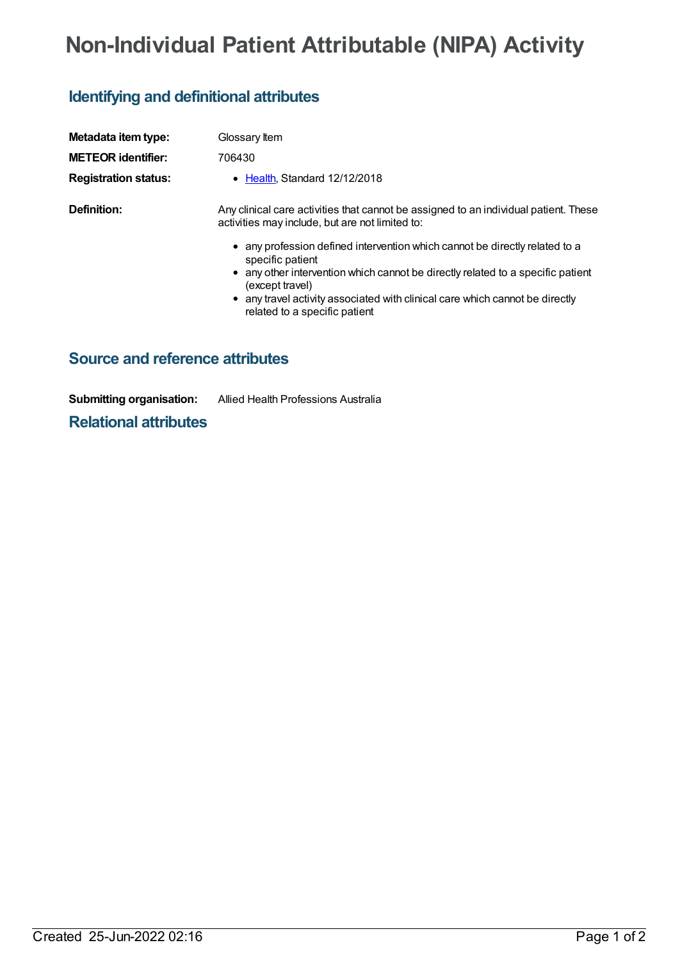## **Non-Individual Patient Attributable (NIPA) Activity**

## **Identifying and definitional attributes**

| Metadata item type:         | Glossary Item                                                                                                                                                                                                                                                                                                          |
|-----------------------------|------------------------------------------------------------------------------------------------------------------------------------------------------------------------------------------------------------------------------------------------------------------------------------------------------------------------|
| <b>METEOR identifier:</b>   | 706430                                                                                                                                                                                                                                                                                                                 |
| <b>Registration status:</b> | • Health, Standard 12/12/2018                                                                                                                                                                                                                                                                                          |
| Definition:                 | Any clinical care activities that cannot be assigned to an individual patient. These<br>activities may include, but are not limited to:                                                                                                                                                                                |
|                             | • any profession defined intervention which cannot be directly related to a<br>specific patient<br>• any other intervention which cannot be directly related to a specific patient<br>(except travel)<br>• any travel activity associated with clinical care which cannot be directly<br>related to a specific patient |

## **Source and reference attributes**

**Submitting organisation:** Allied Health Professions Australia

**Relational attributes**